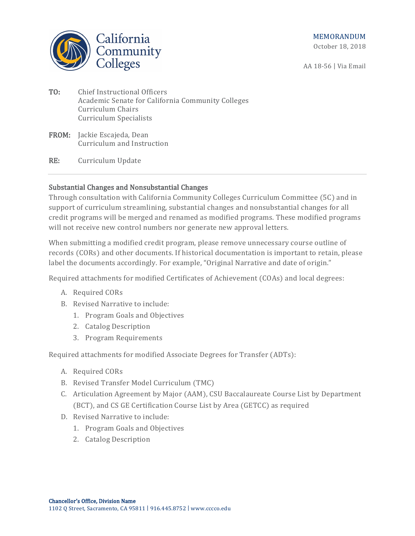California Community<br>Colleges

AA 18-56 | Via Email

- TO: Chief Instructional Officers Academic Senate for California Community Colleges Curriculum Chairs Curriculum Specialists
- FROM: Jackie Escajeda, Dean Curriculum and Instruction
- RE: Curriculum Update

# Substantial Changes and Nonsubstantial Changes

Through consultation with California Community Colleges Curriculum Committee (5C) and in support of curriculum streamlining, substantial changes and nonsubstantial changes for all credit programs will be merged and renamed as modified programs. These modified programs will not receive new control numbers nor generate new approval letters.

When submitting a modified credit program, please remove unnecessary course outline of records (CORs) and other documents. If historical documentation is important to retain, please label the documents accordingly. For example, "Original Narrative and date of origin."

Required attachments for modified Certificates of Achievement (COAs) and local degrees:

- A. Required CORs
- B. Revised Narrative to include:
	- 1. Program Goals and Objectives
	- 2. Catalog Description
	- 3. Program Requirements

Required attachments for modified Associate Degrees for Transfer (ADTs):

- A. Required CORs
- B. Revised Transfer Model Curriculum (TMC)
- C. Articulation Agreement by Major (AAM), CSU Baccalaureate Course List by Department (BCT), and CS GE Certification Course List by Area (GETCC) as required
- D. Revised Narrative to include:
	- 1. Program Goals and Objectives
	- 2. Catalog Description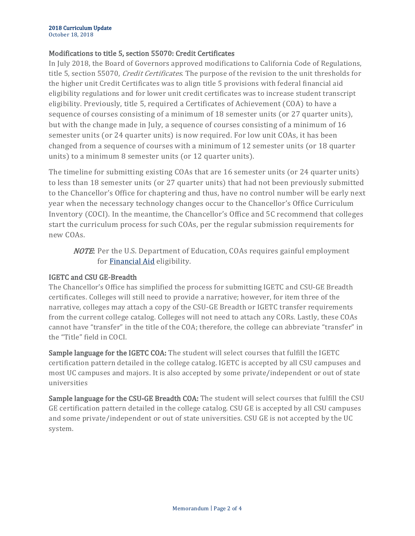# Modifications to title 5, section 55070: Credit Certificates

In July 2018, the Board of Governors approved modifications to California Code of Regulations, title 5, section 55070, *Credit Certificates*. The purpose of the revision to the unit thresholds for the higher unit Credit Certificates was to align title 5 provisions with federal financial aid eligibility regulations and for lower unit credit certificates was to increase student transcript eligibility. Previously, title 5, required a Certificates of Achievement (COA) to have a sequence of courses consisting of a minimum of 18 semester units (or 27 quarter units), but with the change made in July, a sequence of courses consisting of a minimum of 16 semester units (or 24 quarter units) is now required. For low unit COAs, it has been changed from a sequence of courses with a minimum of 12 semester units (or 18 quarter units) to a minimum 8 semester units (or 12 quarter units).

The timeline for submitting existing COAs that are 16 semester units (or 24 quarter units) to less than 18 semester units (or 27 quarter units) that had not been previously submitted to the Chancellor's Office for chaptering and thus, have no control number will be early next year when the necessary technology changes occur to the Chancellor's Office Curriculum Inventory (COCI). In the meantime, the Chancellor's Office and 5C recommend that colleges start the curriculum process for such COAs, per the regular submission requirements for new COAs.

NOTE: Per the U.S. Department of Education, COAs requires gainful employment for [Financial Aid](https://ifap.ed.gov/fsahandbook/attachments/1314FSAHbkVol2Ch2.pdf) eligibility.

# IGETC and CSU GE-Breadth

The Chancellor's Office has simplified the process for submitting IGETC and CSU-GE Breadth certificates. Colleges will still need to provide a narrative; however, for item three of the narrative, colleges may attach a copy of the CSU-GE Breadth or IGETC transfer requirements from the current college catalog. Colleges will not need to attach any CORs. Lastly, these COAs cannot have "transfer" in the title of the COA; therefore, the college can abbreviate "transfer" in the "Title" field in COCI.

Sample language for the IGETC COA: The student will select courses that fulfill the IGETC certification pattern detailed in the college catalog. IGETC is accepted by all CSU campuses and most UC campuses and majors. It is also accepted by some private/independent or out of state universities

Sample language for the CSU-GE Breadth COA: The student will select courses that fulfill the CSU GE certification pattern detailed in the college catalog. CSU GE is accepted by all CSU campuses and some private/independent or out of state universities. CSU GE is not accepted by the UC system.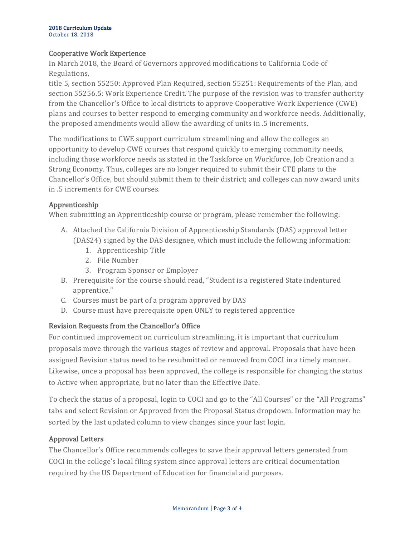### Cooperative Work Experience

In March 2018, the Board of Governors approved modifications to California Code of Regulations,

title 5, section 55250: Approved Plan Required, section 55251: Requirements of the Plan, and section 55256.5: Work Experience Credit. The purpose of the revision was to transfer authority from the Chancellor's Office to local districts to approve Cooperative Work Experience (CWE) plans and courses to better respond to emerging community and workforce needs. Additionally, the proposed amendments would allow the awarding of units in .5 increments.

The modifications to CWE support curriculum streamlining and allow the colleges an opportunity to develop CWE courses that respond quickly to emerging community needs, including those workforce needs as stated in the Taskforce on Workforce, Job Creation and a Strong Economy. Thus, colleges are no longer required to submit their CTE plans to the Chancellor's Office, but should submit them to their district; and colleges can now award units in .5 increments for CWE courses.

#### Apprenticeship

When submitting an Apprenticeship course or program, please remember the following:

- A. Attached the California Division of Apprenticeship Standards (DAS) approval letter (DAS24) signed by the DAS designee, which must include the following information:
	- 1. Apprenticeship Title
	- 2. File Number
	- 3. Program Sponsor or Employer
- B. Prerequisite for the course should read, "Student is a registered State indentured apprentice."
- C. Courses must be part of a program approved by DAS
- D. Course must have prerequisite open ONLY to registered apprentice

# Revision Requests from the Chancellor's Office

For continued improvement on curriculum streamlining, it is important that curriculum proposals move through the various stages of review and approval. Proposals that have been assigned Revision status need to be resubmitted or removed from COCI in a timely manner. Likewise, once a proposal has been approved, the college is responsible for changing the status to Active when appropriate, but no later than the Effective Date.

To check the status of a proposal, login to COCI and go to the "All Courses" or the "All Programs" tabs and select Revision or Approved from the Proposal Status dropdown. Information may be sorted by the last updated column to view changes since your last login.

# Approval Letters

The Chancellor's Office recommends colleges to save their approval letters generated from COCI in the college's local filing system since approval letters are critical documentation required by the US Department of Education for financial aid purposes.